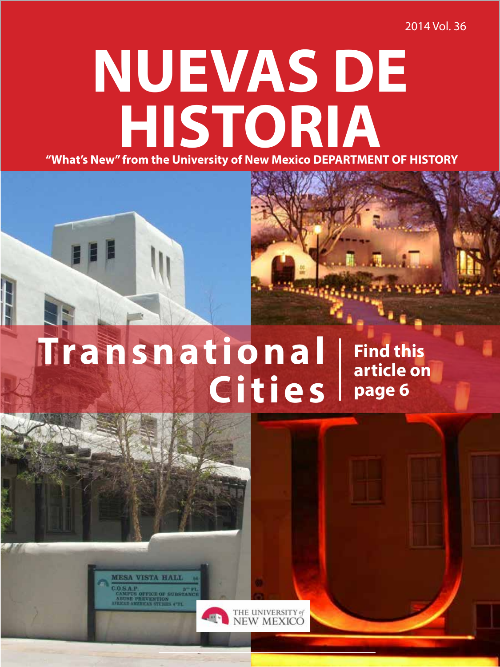2014 Vol. 36

# **NUEVAS DE "What's New" from the University of New Mexico DEPARTMENT OF HISTORY HISTORIA**

# **Transnational Cities**

**Find this article on page 6**

**MESA VISTA HALL**  $05AP.$ USE PREVENTION<br>LU AMERICAN STUDIES C'EL

THE UNIVERSITY of<br>NEW MEXICO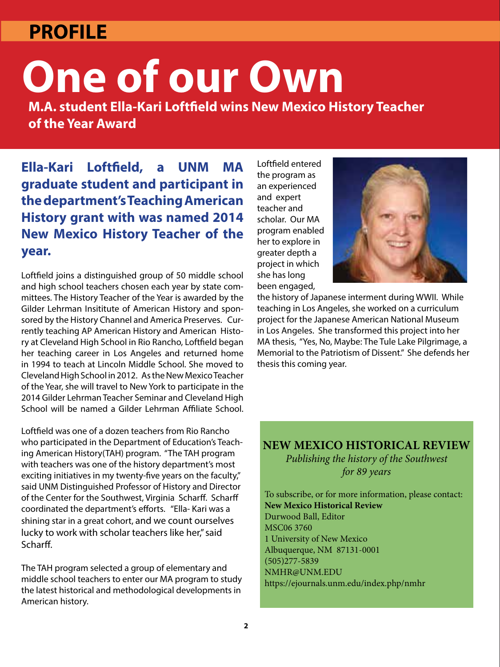### **PROFILE**

# **One of our Own**

**M.A. student Ella-Kari Loftfield wins New Mexico History Teacher of the Year Award**

**Ella-Kari Loftfield, a UNM MA graduate student and participant in the department's Teaching American History grant with was named 2014 New Mexico History Teacher of the year.**

Loftfield joins a distinguished group of 50 middle school and high school teachers chosen each year by state committees. The History Teacher of the Year is awarded by the Gilder Lehrman Insititute of American History and sponsored by the History Channel and America Preserves. Currently teaching AP American History and American History at Cleveland High School in Rio Rancho, Loftfield began her teaching career in Los Angeles and returned home in 1994 to teach at Lincoln Middle School. She moved to Cleveland High School in 2012. As the New Mexico Teacher of the Year, she will travel to New York to participate in the 2014 Gilder Lehrman Teacher Seminar and Cleveland High School will be named a Gilder Lehrman Affiliate School.

Loftfield was one of a dozen teachers from Rio Rancho who participated in the Department of Education's Teaching American History(TAH) program. "The TAH program with teachers was one of the history department's most exciting initiatives in my twenty-five years on the faculty," said UNM Distinguished Professor of History and Director of the Center for the Southwest, Virginia Scharff. Scharff coordinated the department's efforts. "Ella- Kari was a shining star in a great cohort, and we count ourselves lucky to work with scholar teachers like her," said Scharff.

The TAH program selected a group of elementary and middle school teachers to enter our MA program to study the latest historical and methodological developments in American history.

Loftfield entered the program as an experienced and expert teacher and scholar. Our MA program enabled her to explore in greater depth a project in which she has long been engaged,



the history of Japanese interment during WWII. While teaching in Los Angeles, she worked on a curriculum project for the Japanese American National Museum in Los Angeles. She transformed this project into her MA thesis, "Yes, No, Maybe: The Tule Lake Pilgrimage, a Memorial to the Patriotism of Dissent." She defends her thesis this coming year.

#### **NEW MEXICO HISTORICAL REVIEW** *Publishing the history of the Southwest*

*for 89 years*

To subscribe, or for more information, please contact: **New Mexico Historical Review** Durwood Ball, Editor MSC06 3760 1 University of New Mexico Albuquerque, NM 87131-0001 (505)277-5839 NMHR@UNM.EDU https://ejournals.unm.edu/index.php/nmhr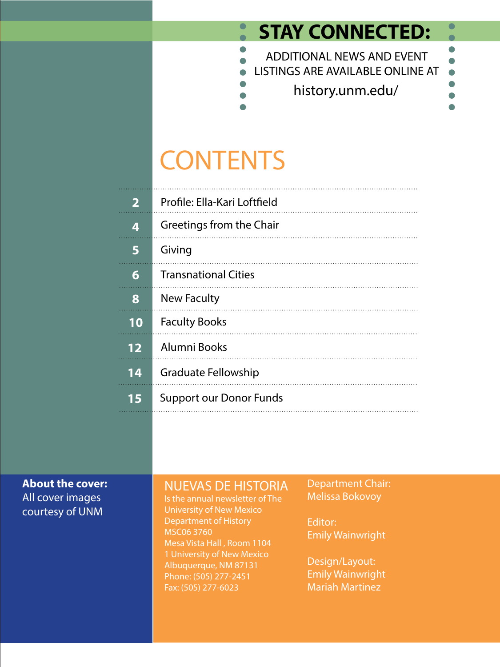### **STAY CONNECTED:**

 $\bullet$ 

 $\bullet$ 



# **CONTENTS**

 $\bullet$ 

| 2  | Profile: Ella-Kari Loftfield   |
|----|--------------------------------|
| 4  | Greetings from the Chair       |
| 5  | Giving                         |
| 6  | <b>Transnational Cities</b>    |
| 8  | New Faculty                    |
| 10 | <b>Faculty Books</b>           |
| 12 | Alumni Books                   |
| 14 | <b>Graduate Fellowship</b>     |
| 15 | <b>Support our Donor Funds</b> |

#### **About the cover:** All cover images courtesy of UNM

### NUEVAS DE HISTORIA

Is the annual newsletter of The University of New Mexico Department of History MSC06 3760 Mesa Vista Hall , Room 1104 1 University of New Mexico Albuquerque, NM 87131 Phone: (505) 277-2451 Fax: (505) 277-6023

Department Chair: Melissa Bokovoy

Editor: Emily Wainwright

Design/Layout: Emily Wainwright Mariah Martinez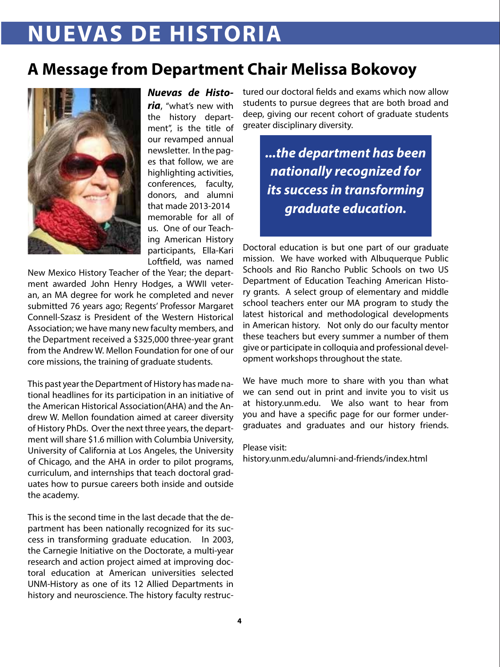## **NUEVAS DE HISTORIA**

### **A Message from Department Chair Melissa Bokovoy**



*Nuevas de Historia*, "what's new with the history department", is the title of our revamped annual newsletter. In the pages that follow, we are highlighting activities, conferences, faculty, donors, and alumni that made 2013-2014 memorable for all of us. One of our Teaching American History participants, Ella-Kari Loftfield, was named

New Mexico History Teacher of the Year; the department awarded John Henry Hodges, a WWII veteran, an MA degree for work he completed and never submitted 76 years ago; Regents' Professor Margaret Connell-Szasz is President of the Western Historical Association; we have many new faculty members, and the Department received a \$325,000 three-year grant from the Andrew W. Mellon Foundation for one of our core missions, the training of graduate students.

This past year the Department of History has made national headlines for its participation in an initiative of the American Historical Association(AHA) and the Andrew W. Mellon foundation aimed at career diversity of History PhDs. Over the next three years, the department will share \$1.6 million with Columbia University, University of California at Los Angeles, the University of Chicago, and the AHA in order to pilot programs, curriculum, and internships that teach doctoral graduates how to pursue careers both inside and outside the academy.

This is the second time in the last decade that the department has been nationally recognized for its success in transforming graduate education. In 2003, the Carnegie Initiative on the Doctorate, a multi-year research and action project aimed at improving doctoral education at American universities selected UNM-History as one of its 12 Allied Departments in history and neuroscience. The history faculty restructured our doctoral fields and exams which now allow students to pursue degrees that are both broad and deep, giving our recent cohort of graduate students greater disciplinary diversity.

> *...the department has been nationally recognized for its success in transforming graduate education.*

Doctoral education is but one part of our graduate mission. We have worked with Albuquerque Public Schools and Rio Rancho Public Schools on two US Department of Education Teaching American History grants. A select group of elementary and middle school teachers enter our MA program to study the latest historical and methodological developments in American history. Not only do our faculty mentor these teachers but every summer a number of them give or participate in colloquia and professional development workshops throughout the state.

We have much more to share with you than what we can send out in print and invite you to visit us at history.unm.edu. We also want to hear from you and have a specific page for our former undergraduates and graduates and our history friends.

#### Please visit:

history.unm.edu/alumni-and-friends/index.html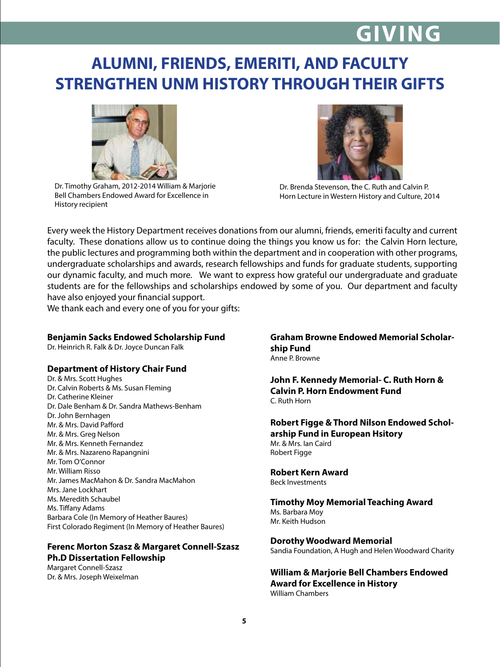# **GIVING**

### **ALUMNI, FRIENDS, EMERITI, AND FACULTY STRENGTHEN UNM HISTORY THROUGH THEIR GIFTS**



Dr. Timothy Graham, 2012-2014 William & Marjorie Bell Chambers Endowed Award for Excellence in History recipient



Dr. Brenda Stevenson, the C. Ruth and Calvin P. Horn Lecture in Western History and Culture, 2014

Every week the History Department receives donations from our alumni, friends, emeriti faculty and current faculty. These donations allow us to continue doing the things you know us for: the Calvin Horn lecture, the public lectures and programming both within the department and in cooperation with other programs, undergraduate scholarships and awards, research fellowships and funds for graduate students, supporting our dynamic faculty, and much more. We want to express how grateful our undergraduate and graduate students are for the fellowships and scholarships endowed by some of you. Our department and faculty have also enjoyed your financial support.

We thank each and every one of you for your gifts:

#### **Benjamin Sacks Endowed Scholarship Fund**

Dr. Heinrich R. Falk & Dr. Joyce Duncan Falk

#### **Department of History Chair Fund**

Dr. & Mrs. Scott Hughes Dr. Calvin Roberts & Ms. Susan Fleming Dr. Catherine Kleiner Dr. Dale Benham & Dr. Sandra Mathews-Benham Dr. John Bernhagen Mr. & Mrs. David Pafford Mr. & Mrs. Greg Nelson Mr. & Mrs. Kenneth Fernandez Mr. & Mrs. Nazareno Rapangnini Mr. Tom O'Connor Mr. William Risso Mr. James MacMahon & Dr. Sandra MacMahon Mrs. Jane Lockhart Ms. Meredith Schaubel Ms. Tiffany Adams Barbara Cole (In Memory of Heather Baures) First Colorado Regiment (In Memory of Heather Baures)

#### **Ferenc Morton Szasz & Margaret Connell-Szasz Ph.D Dissertation Fellowship**

Margaret Connell-Szasz Dr. & Mrs. Joseph Weixelman

#### **Graham Browne Endowed Memorial Scholarship Fund** Anne P. Browne

**John F. Kennedy Memorial- C. Ruth Horn & Calvin P. Horn Endowment Fund** C. Ruth Horn

**Robert Figge & Thord Nilson Endowed Scholarship Fund in European Hsitory** Mr. & Mrs. Ian Caird Robert Figge

#### **Robert Kern Award**

Beck Investments

#### **Timothy Moy Memorial Teaching Award** Ms. Barbara Moy Mr. Keith Hudson

#### **Dorothy Woodward Memorial**

Sandia Foundation, A Hugh and Helen Woodward Charity

**William & Marjorie Bell Chambers Endowed Award for Excellence in History** William Chambers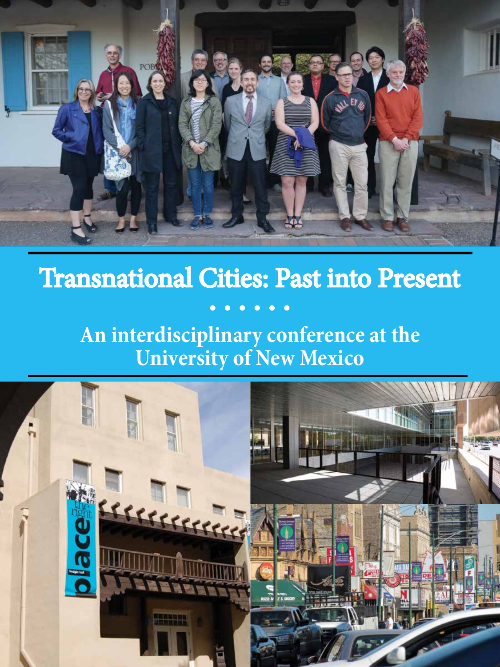

# Transnational Cities: Past into Present

### $\bullet$   $\bullet$

## **An interdisciplinary conference at the University of New Mexico**

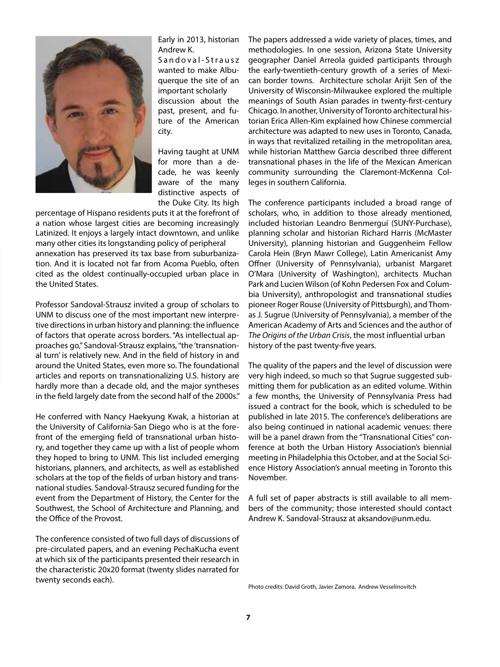

Early in 2013, historian Andrew K.

Sandoval-Strausz wanted to make Albuquerque the site of an important scholarly discussion about the past, present, and future of the American city.

Having taught at UNM for more than a decade, he was keenly aware of the many distinctive aspects of the Duke City. Its high

percentage of Hispano residents puts it at the forefront of a nation whose largest cities are becoming increasingly Latinized. It enjoys a largely intact downtown, and unlike many other cities its longstanding policy of peripheral annexation has preserved its tax base from suburbanization. And it is located not far from Acoma Pueblo, often cited as the oldest continually-occupied urban place in the United States.

Professor Sandoval-Strausz invited a group of scholars to UNM to discuss one of the most important new interpretive directions in urban history and planning: the influence of factors that operate across borders. "As intellectual approaches go," Sandoval-Strausz explains, "the 'transnational turn' is relatively new. And in the field of history in and around the United States, even more so. The foundational articles and reports on transnationalizing U.S. history are hardly more than a decade old, and the major syntheses in the field largely date from the second half of the 2000s."

He conferred with Nancy Haekyung Kwak, a historian at the University of California-San Diego who is at the forefront of the emerging field of transnational urban history, and together they came up with a list of people whom they hoped to bring to UNM. This list included emerging historians, planners, and architects, as well as established scholars at the top of the fields of urban history and transnational studies. Sandoval-Strausz secured funding for the event from the Department of History, the Center for the Southwest, the School of Architecture and Planning, and the Office of the Provost.

The conference consisted of two full days of discussions of pre-circulated papers, and an evening PechaKucha event at which six of the participants presented their research in the characteristic 20x20 format (twenty slides narrated for twenty seconds each).

The papers addressed a wide variety of places, times, and methodologies. In one session, Arizona State University geographer Daniel Arreola guided participants through the early-twentieth-century growth of a series of Mexican border towns. Architecture scholar Arijit Sen of the University of Wisconsin-Milwaukee explored the multiple meanings of South Asian parades in twenty-first-century Chicago. In another, University of Toronto architectural historian Erica Allen-Kim explained how Chinese commercial architecture was adapted to new uses in Toronto, Canada, in ways that revitalized retailing in the metropolitan area, while historian Matthew Garcia described three different transnational phases in the life of the Mexican American community surrounding the Claremont-McKenna Colleges in southern California.

The conference participants included a broad range of scholars, who, in addition to those already mentioned, included historian Leandro Benmerguí (SUNY-Purchase), planning scholar and historian Richard Harris (McMaster University), planning historian and Guggenheim Fellow Carola Hein (Bryn Mawr College), Latin Americanist Amy Offner (University of Pennsylvania), urbanist Margaret O'Mara (University of Washington), architects Muchan Park and Lucien Wilson (of Kohn Pedersen Fox and Columbia University), anthropologist and transnational studies pioneer Roger Rouse (University of Pittsburgh), and Thomas J. Sugrue (University of Pennsylvania), a member of the American Academy of Arts and Sciences and the author of *The Origins of the Urban Crisis*, the most influential urban history of the past twenty-five years.

The quality of the papers and the level of discussion were very high indeed, so much so that Sugrue suggested submitting them for publication as an edited volume. Within a few months, the University of Pennsylvania Press had issued a contract for the book, which is scheduled to be published in late 2015. The conference's deliberations are also being continued in national academic venues: there will be a panel drawn from the "Transnational Cities" conference at both the Urban History Association's biennial meeting in Philadelphia this October, and at the Social Science History Association's annual meeting in Toronto this November.

A full set of paper abstracts is still available to all members of the community; those interested should contact Andrew K. Sandoval-Strausz at aksandov@unm.edu.

Photo credits: David Groth, Javier Zamora, Andrew Vesselinovitch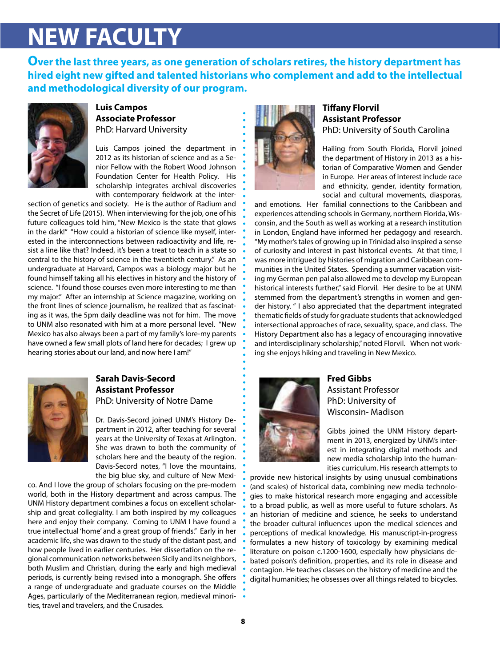# **NEW FACULTY**

**Over the last three years, as one generation of scholars retires, the history department has hired eight new gifted and talented historians who complement and add to the intellectual and methodological diversity of our program.**



#### **Luis Campos Associate Professor** PhD: Harvard University

Luis Campos joined the department in 2012 as its historian of science and as a Senior Fellow with the Robert Wood Johnson Foundation Center for Health Policy. His scholarship integrates archival discoveries with contemporary fieldwork at the inter-

section of genetics and society. He is the author of Radium and the Secret of Life (2015). When interviewing for the job, one of his future colleagues told him, "New Mexico is the state that glows in the dark!" "How could a historian of science like myself, interested in the interconnections between radioactivity and life, resist a line like that? Indeed, it's been a treat to teach in a state so central to the history of science in the twentieth century." As an undergraduate at Harvard, Campos was a biology major but he found himself taking all his electives in history and the history of science. "I found those courses even more interesting to me than my major." After an internship at Science magazine, working on the front lines of science journalism, he realized that as fascinating as it was, the 5pm daily deadline was not for him. The move to UNM also resonated with him at a more personal level. "New Mexico has also always been a part of my family's lore-my parents have owned a few small plots of land here for decades; I grew up hearing stories about our land, and now here I am!"



#### **Sarah Davis-Secord Assistant Professor** PhD: University of Notre Dame

Dr. Davis-Secord joined UNM's History Department in 2012, after teaching for several years at the University of Texas at Arlington. She was drawn to both the community of scholars here and the beauty of the region. Davis-Secord notes, "I love the mountains, the big blue sky, and culture of New Mexi-

co. And I love the group of scholars focusing on the pre-modern world, both in the History department and across campus. The UNM History department combines a focus on excellent scholarship and great collegiality. I am both inspired by my colleagues here and enjoy their company. Coming to UNM I have found a true intellectual 'home' and a great group of friends." Early in her academic life, she was drawn to the study of the distant past, and how people lived in earlier centuries. Her dissertation on the regional communication networks between Sicily and its neighbors, both Muslim and Christian, during the early and high medieval periods, is currently being revised into a monograph. She offers a range of undergraduate and graduate courses on the Middle Ages, particularly of the Mediterranean region, medieval minorities, travel and travelers, and the Crusades.



#### **Tiffany Florvil Assistant Professor** PhD: University of South Carolina

Hailing from South Florida, Florvil joined the department of History in 2013 as a historian of Comparative Women and Gender in Europe. Her areas of interest include race and ethnicity, gender, identity formation, social and cultural movements, diasporas,

and emotions. Her familial connections to the Caribbean and experiences attending schools in Germany, northern Florida, Wisconsin, and the South as well as working at a research institution in London, England have informed her pedagogy and research. "My mother's tales of growing up in Trinidad also inspired a sense of curiosity and interest in past historical events. At that time, I was more intrigued by histories of migration and Caribbean communities in the United States. Spending a summer vacation visiting my German pen pal also allowed me to develop my European historical interests further," said Florvil. Her desire to be at UNM stemmed from the department's strengths in women and gender history. " I also appreciated that the department integrated thematic fields of study for graduate students that acknowledged intersectional approaches of race, sexuality, space, and class. The History Department also has a legacy of encouraging innovative and interdisciplinary scholarship," noted Florvil. When not working she enjoys hiking and traveling in New Mexico.



#### **Fred Gibbs** Assistant Professor PhD: University of Wisconsin- Madison

Gibbs joined the UNM History department in 2013, energized by UNM's interest in integrating digital methods and new media scholarship into the humanities curriculum. His research attempts to

provide new historical insights by using unusual combinations (and scales) of historical data, combining new media technologies to make historical research more engaging and accessible to a broad public, as well as more useful to future scholars. As an historian of medicine and science, he seeks to understand the broader cultural influences upon the medical sciences and perceptions of medical knowledge. His manuscript-in-progress formulates a new history of toxicology by examining medical literature on poison c.1200-1600, especially how physicians debated poison's definition, properties, and its role in disease and contagion. He teaches classes on the history of medicine and the digital humanities; he obsesses over all things related to bicycles.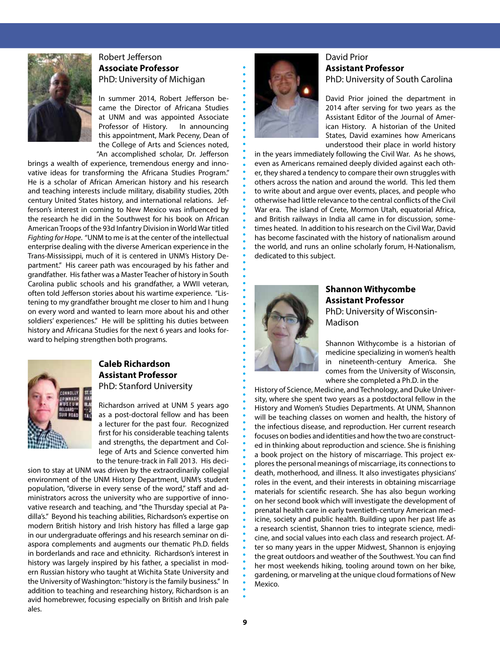

#### Robert Jefferson **Associate Professor** PhD: University of Michigan

In summer 2014, Robert Jefferson became the Director of Africana Studies at UNM and was appointed Associate Professor of History. In announcing this appointment, Mark Peceny, Dean of the College of Arts and Sciences noted, "An accomplished scholar, Dr. Jefferson

brings a wealth of experience, tremendous energy and innovative ideas for transforming the Africana Studies Program." He is a scholar of African American history and his research and teaching interests include military, disability studies, 20th century United States history, and international relations. Jefferson's interest in coming to New Mexico was influenced by the research he did in the Southwest for his book on African American Troops of the 93d Infantry Division in World War titled *Fighting for Hope*. "UNM to me is at the center of the intellectual enterprise dealing with the diverse American experience in the Trans-Mississippi, much of it is centered in UNM's History Department." His career path was encouraged by his father and grandfather. His father was a Master Teacher of history in South Carolina public schools and his grandfather, a WWII veteran, often told Jefferson stories about his wartime experience. "Listening to my grandfather brought me closer to him and I hung on every word and wanted to learn more about his and other soldiers' experiences." He will be splitting his duties between history and Africana Studies for the next 6 years and looks forward to helping strengthen both programs.



#### **Caleb Richardson Assistant Professor** PhD: Stanford University

Richardson arrived at UNM 5 years ago as a post-doctoral fellow and has been a lecturer for the past four. Recognized first for his considerable teaching talents and strengths, the department and College of Arts and Science converted him to the tenure-track in Fall 2013. His deci-

sion to stay at UNM was driven by the extraordinarily collegial environment of the UNM History Department, UNM's student population, "diverse in every sense of the word," staff and administrators across the university who are supportive of innovative research and teaching, and "the Thursday special at Padilla's." Beyond his teaching abilities, Richardson's expertise on modern British history and Irish history has filled a large gap in our undergraduate offerings and his research seminar on diaspora complements and augments our thematic Ph.D. fields in borderlands and race and ethnicity. Richardson's interest in history was largely inspired by his father, a specialist in modern Russian history who taught at Wichita State University and the University of Washington: "history is the family business." In addition to teaching and researching history, Richardson is an avid homebrewer, focusing especially on British and Irish pale ales.



#### David Prior **Assistant Professor** PhD: University of South Carolina

David Prior joined the department in 2014 after serving for two years as the Assistant Editor of the Journal of American History. A historian of the United States, David examines how Americans understood their place in world history

in the years immediately following the Civil War. As he shows, even as Americans remained deeply divided against each other, they shared a tendency to compare their own struggles with others across the nation and around the world. This led them to write about and argue over events, places, and people who otherwise had little relevance to the central conflicts of the Civil War era. The island of Crete, Mormon Utah, equatorial Africa, and British railways in India all came in for discussion, sometimes heated. In addition to his research on the Civil War, David has become fascinated with the history of nationalism around the world, and runs an online scholarly forum, H-Nationalism, dedicated to this subject.



#### **Shannon Withycombe Assistant Professor** PhD: University of Wisconsin-Madison

Shannon Withycombe is a historian of medicine specializing in women's health in nineteenth-century America. She comes from the University of Wisconsin, where she completed a Ph.D. in the

History of Science, Medicine, and Technology, and Duke University, where she spent two years as a postdoctoral fellow in the History and Women's Studies Departments. At UNM, Shannon will be teaching classes on women and health, the history of the infectious disease, and reproduction. Her current research focuses on bodies and identities and how the two are constructed in thinking about reproduction and science. She is finishing a book project on the history of miscarriage. This project explores the personal meanings of miscarriage, its connections to death, motherhood, and illness. It also investigates physicians' roles in the event, and their interests in obtaining miscarriage materials for scientific research. She has also begun working on her second book which will investigate the development of prenatal health care in early twentieth-century American medicine, society and public health. Building upon her past life as a research scientist, Shannon tries to integrate science, medicine, and social values into each class and research project. After so many years in the upper Midwest, Shannon is enjoying the great outdoors and weather of the Southwest. You can find her most weekends hiking, tooling around town on her bike, gardening, or marveling at the unique cloud formations of New Mexico.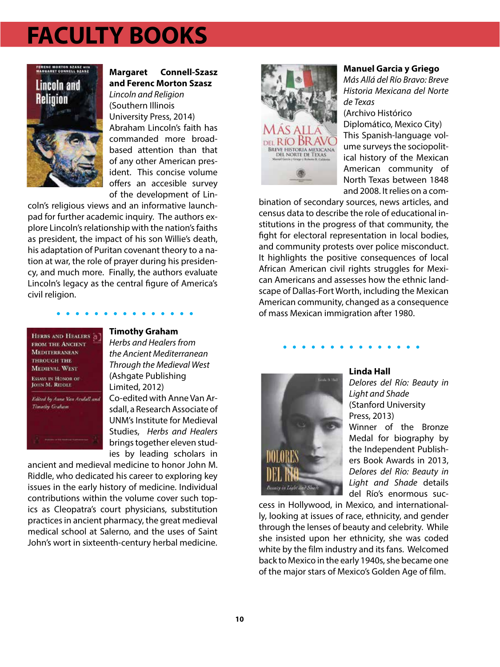## **FACULTY BOOKS**



#### **Margaret Connell-Szasz and Ferenc Morton Szasz**

*Lincoln and Religion* (Southern Illinois University Press, 2014) Abraham Lincoln's faith has commanded more broadbased attention than that of any other American president. This concise volume offers an accesible survey of the development of Lin-

coln's religious views and an informative launchpad for further academic inquiry. The authors explore Lincoln's relationship with the nation's faiths as president, the impact of his son Willie's death, his adaptation of Puritan covenant theory to a nation at war, the role of prayer during his presidency, and much more. Finally, the authors evaluate Lincoln's legacy as the central figure of America's civil religion.



#### **Timothy Graham**

*Herbs and Healers from the Ancient Mediterranean Through the Medieval West* (Ashgate Publishing Limited, 2012)

Co-edited with Anne Van Arsdall, a Research Associate of UNM's Institute for Medieval Studies, *Herbs and Healers*  brings together eleven studies by leading scholars in

ancient and medieval medicine to honor John M. Riddle, who dedicated his career to exploring key issues in the early history of medicine. Individual contributions within the volume cover such topics as Cleopatra's court physicians, substitution practices in ancient pharmacy, the great medieval medical school at Salerno, and the uses of Saint John's wort in sixteenth-century herbal medicine.



#### **Manuel Garcia y Griego**

*Más Allá del Río Bravo: Breve Historia Mexicana del Norte de Texas*

(Archivo Histórico Diplomático, Mexico City) This Spanish-language volume surveys the sociopolitical history of the Mexican American community of North Texas between 1848 and 2008. It relies on a com-

bination of secondary sources, news articles, and census data to describe the role of educational institutions in the progress of that community, the fight for electoral representation in local bodies, and community protests over police misconduct. It highlights the positive consequences of local African American civil rights struggles for Mexican Americans and assesses how the ethnic landscape of Dallas-Fort Worth, including the Mexican American community, changed as a consequence of mass Mexican immigration after 1980.



#### **Linda Hall**

*Delores del Río: Beauty in Light and Shade* (Stanford University Press, 2013) Winner of the Bronze Medal for biography by the Independent Publishers Book Awards in 2013, *Delores del Rio: Beauty in Light and Shade* details del Río's enormous suc-

cess in Hollywood, in Mexico, and internationally, looking at issues of race, ethnicity, and gender through the lenses of beauty and celebrity. While she insisted upon her ethnicity, she was coded white by the film industry and its fans. Welcomed back to Mexico in the early 1940s, she became one of the major stars of Mexico's Golden Age of film.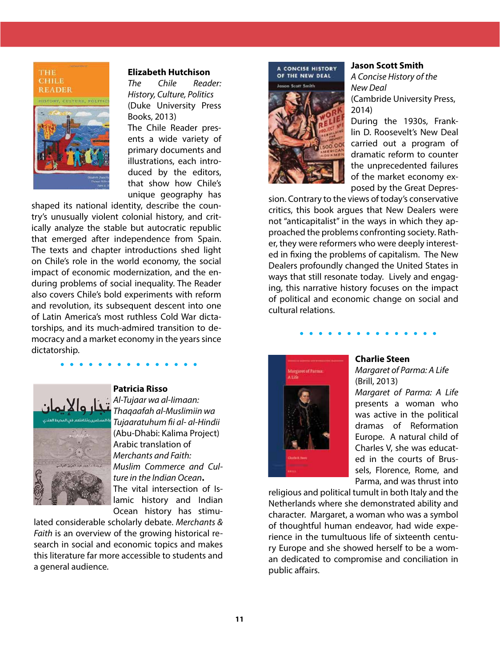

#### **Elizabeth Hutchison**

*The Chile Reader: History, Culture, Politics* (Duke University Press Books, 2013) The Chile Reader presents a wide variety of primary documents and illustrations, each introduced by the editors, that show how Chile's unique geography has

shaped its national identity, describe the country's unusually violent colonial history, and critically analyze the stable but autocratic republic that emerged after independence from Spain. The texts and chapter introductions shed light on Chile's role in the world economy, the social impact of economic modernization, and the enduring problems of social inequality. The Reader also covers Chile's bold experiments with reform and revolution, its subsequent descent into one of Latin America's most ruthless Cold War dictatorships, and its much-admired transition to democracy and a market economy in the years since dictatorship.



#### **Patricia Risso**

*Al-Tujaar wa al-Iimaan: Thaqaafah al-Muslimiin wa Tujaaratuhum fii al- al-Hindii*  (Abu-Dhabi: Kalima Project) Arabic translation of *Merchants and Faith: Muslim Commerce and Culture in the Indian Ocean***.** The vital intersection of Islamic history and Indian Ocean history has stimu-

lated considerable scholarly debate. *Merchants & Faith* is an overview of the growing historical research in social and economic topics and makes this literature far more accessible to students and a general audience.



#### **Jason Scott Smith**

*A Concise History of the New Deal* (Cambride University Press, 2014)

During the 1930s, Franklin D. Roosevelt's New Deal carried out a program of dramatic reform to counter the unprecedented failures of the market economy exposed by the Great Depres-

sion. Contrary to the views of today's conservative critics, this book argues that New Dealers were not "anticapitalist" in the ways in which they approached the problems confronting society. Rather, they were reformers who were deeply interested in fixing the problems of capitalism. The New Dealers profoundly changed the United States in ways that still resonate today. Lively and engaging, this narrative history focuses on the impact of political and economic change on social and cultural relations.



#### **Charlie Steen**

*Margaret of Parma: A Life* (Brill, 2013) *Margaret of Parma: A Life*  presents a woman who was active in the political dramas of Reformation Europe. A natural child of Charles V, she was educated in the courts of Brussels, Florence, Rome, and Parma, and was thrust into

religious and political tumult in both Italy and the Netherlands where she demonstrated ability and character. Margaret, a woman who was a symbol of thoughtful human endeavor, had wide experience in the tumultuous life of sixteenth century Europe and she showed herself to be a woman dedicated to compromise and conciliation in public affairs.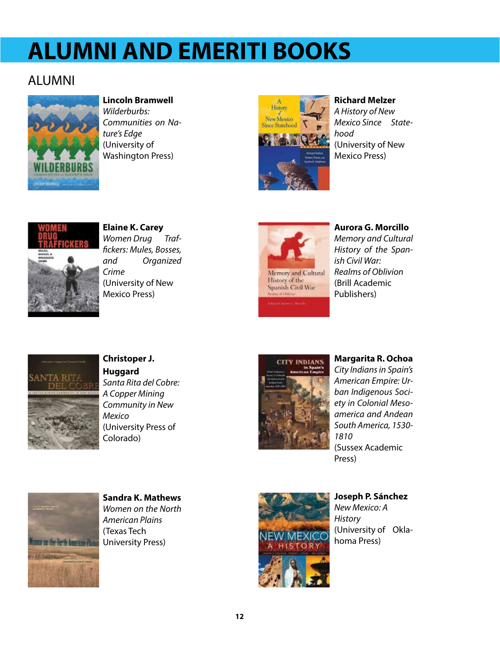# **ALUMNI AND EMERITI BOOKS**

### ALUMNI



**Lincoln Bramwell** *Wilderburbs:* 

*Communities on Nature's Edge* (University of Washington Press)



### **Richard Melzer**

*A History of New Mexico Since Statehood* (University of New Mexico Press)



**Elaine K. Carey** *Women Drug Traffickers: Mules, Bosses, and Organized Crime* (University of New Mexico Press)





**Aurora G. Morcillo** *Memory and Cultural History of the Spanish Civil War: Realms of Oblivion* (Brill Academic Publishers)



**Christoper J. Huggard** *Santa Rita del Cobre: A Copper Mining Community in New Mexico*  (University Press of Colorado)



**Margarita R. Ochoa** *City Indians in Spain's American Empire: Urban Indigenous Society in Colonial Mesoamerica and Andean South America, 1530- 1810* (Sussex Academic Press)



**Sandra K. Mathews** *Women on the North American Plains* (Texas Tech University Press)



#### **Joseph P. Sánchez** *New Mexico: A*

*History* (University of Oklahoma Press)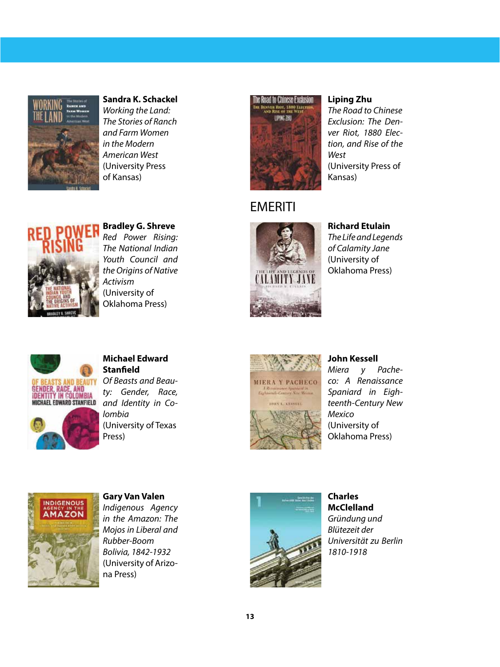

**Sandra K. Schackel** *Working the Land: The Stories of Ranch and Farm Women in the Modern American West* (University Press of Kansas)



**Bradley G. Shreve** *Red Power Rising:* 

*The National Indian Youth Council and the Origins of Native Activism* (University of Oklahoma Press)



**Liping Zhu** *The Road to Chinese Exclusion: The Denver Riot, 1880 Election, and Rise of the West* (University Press of Kansas)

#### **EMERITI**



**Richard Etulain**

*The Life and Legends of Calamity Jane*  (University of Oklahoma Press)



#### **Michael Edward Stanfield**

*Of Beasts and Beauty: Gender, Race, and Identity in Colombia* (University of Texas Press)



#### **John Kessell**

*Miera y Pacheco: A Renaissance Spaniard in Eighteenth-Century New Mexico* (University of Oklahoma Press)



**Gary Van Valen** *Indigenous Agency in the Amazon: The Mojos in Liberal and Rubber-Boom Bolivia, 1842-1932*  (University of Arizona Press)



**Charles McClelland** *Gründung und Blütezeit der Universität zu Berlin 1810-1918*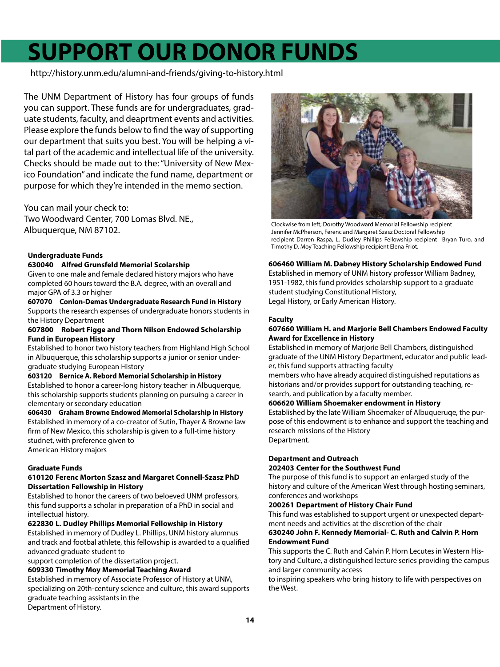# **SUPPORT OUR DONOR FUNDS**

http://history.unm.edu/alumni-and-friends/giving-to-history.html

The UNM Department of History has four groups of funds you can support. These funds are for undergraduates, graduate students, faculty, and deaprtment events and activities. Please explore the funds below to find the way of supporting our department that suits you best. You will be helping a vital part of the academic and intellectual life of the university. Checks should be made out to the: "University of New Mexico Foundation" and indicate the fund name, department or purpose for which they're intended in the memo section.

#### You can mail your check to:

Two Woodward Center, 700 Lomas Blvd. NE., Albuquerque, NM 87102.

#### **Undergraduate Funds**

#### **630040 Alfred Grunsfeld Memorial Scolarship**

Given to one male and female declared history majors who have completed 60 hours toward the B.A. degree, with an overall and major GPA of 3.3 or higher

#### **607070 Conlon-Demas Undergraduate Research Fund in History** Supports the research expenses of undergraduate honors students in

#### the History Department **607800 Robert Figge and Thorn Nilson Endowed Scholarship Fund in European History**

Established to honor two history teachers from Highland High School in Albuquerque, this scholarship supports a junior or senior undergraduate studying European History

#### **603120 Bernice A. Rebord Memorial Scholarship in History** Established to honor a career-long history teacher in Albuquerque,

this scholarship supports students planning on pursuing a career in elementary or secondary education

**606430 Graham Browne Endowed Memorial Scholarship in History** Established in memory of a co-creator of Sutin, Thayer & Browne law firm of New Mexico, this scholarship is given to a full-time history studnet, with preference given to American History majors

#### **Graduate Funds**

#### **610120 Ferenc Morton Szasz and Margaret Connell-Szasz PhD Dissertation Fellowship in History**

Established to honor the careers of two beloeved UNM professors, this fund supports a scholar in preparation of a PhD in social and intellectual history.

#### **622830 L. Dudley Phillips Memorial Fellowship in History**

Established in memory of Dudley L. Phillips, UNM history alumnus and track and footbal athlete, this fellowship is awarded to a qualified advanced graduate student to

support completion of the dissertation project.

#### **609330 Timothy Moy Memorial Teaching Award**

Established in memory of Associate Professor of History at UNM, specializing on 20th-century science and culture, this award supports graduate teaching assistants in the Department of History.



Clockwise from left; Dorothy Woodward Memorial Fellowship recipient Jennifer McPherson, Ferenc and Margaret Szasz Doctoral Fellowship recipient Darren Raspa, L. Dudley Phillips Fellowship recipient Bryan Turo, and Timothy D. Moy Teaching Fellowship recipient Elena Friot.

#### **606460 William M. Dabney History Scholarship Endowed Fund**

Established in memory of UNM history professor William Badney, 1951-1982, this fund provides scholarship support to a graduate student studying Constitutional History, Legal History, or Early American History.

#### **Faculty**

#### **607660 William H. and Marjorie Bell Chambers Endowed Faculty Award for Excellence in History**

Established in memory of Marjorie Bell Chambers, distinguished graduate of the UNM History Department, educator and public leader, this fund supports attracting faculty

members who have already acquired distinguished reputations as historians and/or provides support for outstanding teaching, research, and publication by a faculty member.

#### **606620 William Shoemaker endowment in History**

Established by the late William Shoemaker of Albuqueruqe, the purpose of this endowment is to enhance and support the teaching and research missions of the History Department.

#### **Department and Outreach**

#### **202403 Center for the Southwest Fund**

The purpose of this fund is to support an enlarged study of the history and culture of the American West through hosting seminars, conferences and workshops

#### **200261 Department of History Chair Fund**

This fund was established to support urgent or unexpected department needs and activities at the discretion of the chair

#### **630240 John F. Kennedy Memorial- C. Ruth and Calvin P. Horn Endowment Fund**

This supports the C. Ruth and Calvin P. Horn Lecutes in Western History and Culture, a distinguished lecture series providing the campus and larger community access

to inspiring speakers who bring history to life with perspectives on the West.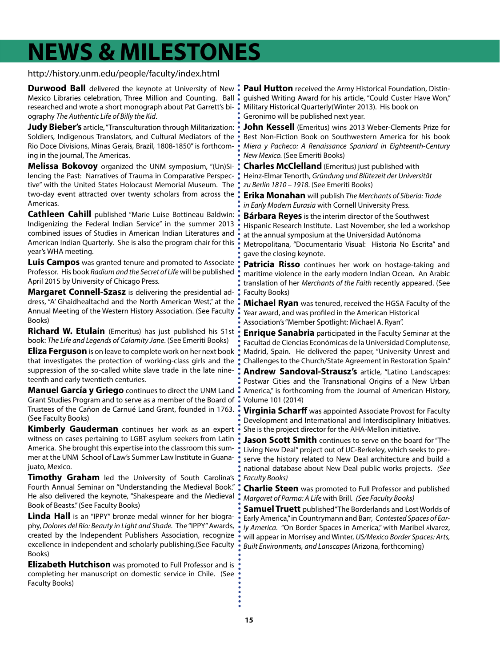## **NEWS & MILESTONES**

#### http://history.unm.edu/people/faculty/index.html

**Durwood Ball** delivered the keynote at University of New : Mexico Libraries celebration, Three Million and Counting. Ball researched and wrote a short monograph about Pat Garrett's biography *The Authentic Life of Billy the Kid*.

**Judy Bieber's** article, "Transculturation through Militarization: Soldiers, Indigenous Translators, and Cultural Mediators of the Rio Doce Divisions, Minas Gerais, Brazil, 1808-1850" is forthcoming in the journal, The Americas.

**Melissa Bokovoy** organized the UNM symposium, "(Un)Silencing the Past: Narratives of Trauma in Comparative Perspective" with the United States Holocaust Memorial Museum. The two-day event attracted over twenty scholars from across the Americas.

**Cathleen Cahill** published "Marie Luise Bottineau Baldwin: Indigenizing the Federal Indian Service" in the summer 2013 combined issues of Studies in American Indian Literatures and American Indian Quarterly. She is also the program chair for this year's WHA meeting.

**Luis Campos** was granted tenure and promoted to Associate Professor. His book *Radium and the Secret of Life* will be published April 2015 by University of Chicago Press.

**Margaret Connell-Szasz** is delivering the presidential address, "A' Ghaidhealtachd and the North American West," at the Annual Meeting of the Western History Association. (See Faculty Books)

**Richard W. Etulain** (Emeritus) has just published his 51st book: *The Life and Legends of Calamity Jane*. (See Emeriti Books)

**Eliza Ferguson** is on leave to complete work on her next book that investigates the protection of working-class girls and the suppression of the so-called white slave trade in the late nineteenth and early twentieth centuries.

**Manuel García y Griego** continues to direct the UNM Land Grant Studies Program and to serve as a member of the Board of Trustees of the Cañon de Carnué Land Grant, founded in 1763. (See Faculty Books)

**Kimberly Gauderman** continues her work as an expert witness on cases pertaining to LGBT asylum seekers from Latin America. She brought this expertise into the classroom this summer at the UNM School of Law's Summer Law Institute in Guanajuato, Mexico.

**Timothy Graham** led the University of South Carolina's Fourth Annual Seminar on "Understanding the Medieval Book." He also delivered the keynote, "Shakespeare and the Medieval Book of Beasts." (See Faculty Books)

**Linda Hall** is an "IPPY" bronze medal winner for her biography, *Dolores del Río: Beauty in Light and Shade.* The "IPPY" Awards, created by the Independent Publishers Association, recognize excellence in independent and scholarly publishing.(See Faculty Books)

**Elizabeth Hutchison** was promoted to Full Professor and is completing her manuscript on domestic service in Chile. (See Faculty Books)

**Paul Hutton** received the Army Historical Foundation, Distinguished Writing Award for his article, "Could Custer Have Won," Military Historical Quarterly(Winter 2013). His book on Geronimo will be published next year.

**John Kessell** (Emeritus) wins 2013 Weber-Clements Prize for Best Non-Fiction Book on Southwestern America for his book *Miera y Pacheco: A Renaissance Spaniard in Eighteenth-Century New Mexico.* (See Emeriti Books)

**Charles McClelland** (Emeritus) just published with Heinz-Elmar Tenorth, *Gründung und Blütezeit der Universität zu Berlin 1810 – 1918*. (See Emeriti Books)

**Erika Monahan** will publish *The Merchants of Siberia: Trade in Early Modern Eurasia* with Cornell University Press.

**Bárbara Reyes** is the interim director of the Southwest Hispanic Research Institute. Last November, she led a workshop at the annual symposium at the Universidad Autónoma Metropolitana, "Documentario Visual: Historia No Escrita" and gave the closing keynote.

**Patricia Risso** continues her work on hostage-taking and maritime violence in the early modern Indian Ocean. An Arabic translation of her *Merchants of the Faith* recently appeared. (See Faculty Books)

**Michael Ryan** was tenured, received the HGSA Faculty of the Year award, and was profiled in the American Historical Association's "Member Spotlight: Michael A. Ryan".

**Enrique Sanabria** participated in the Faculty Seminar at the Facultad de Ciencias Económicas de la Universidad Complutense, Madrid, Spain. He delivered the paper, "University Unrest and Challenges to the Church/State Agreement in Restoration Spain."

**Andrew Sandoval-Strausz's** article, "Latino Landscapes: Postwar Cities and the Transnational Origins of a New Urban America," is forthcoming from the Journal of American History, Volume 101 (2014)

**Virginia Scharff** was appointed Associate Provost for Faculty Development and International and Interdisciplinary Initiatives. She is the project director for the AHA-Mellon initiative.

**Jason Scott Smith** continues to serve on the board for "The Living New Deal" project out of UC-Berkeley, which seeks to preserve the history related to New Deal architecture and build a national database about New Deal public works projects. *(See Faculty Books)* 

**Charlie Steen** was promoted to Full Professor and published *Margaret of Parma: A Life* with Brill. *(See Faculty Books)*

**Samuel Truett** published"The Borderlands and Lost Worlds of Early America," in Countrymann and Barr, *Contested Spaces of Early America*. "On Border Spaces in America," with Maribel álvarez, will appear in Morrisey and Winter, *US/Mexico Border Spaces: Arts, Built Environments, and Lanscapes* (Arizona, forthcoming)